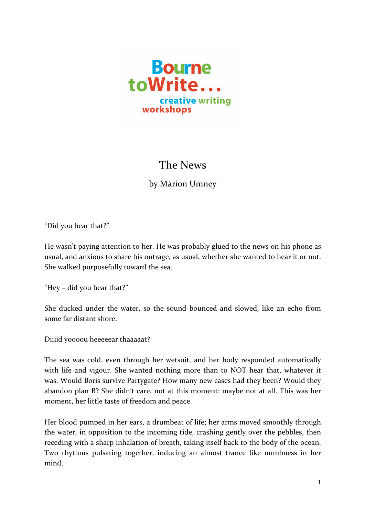

## The News

by Marion Umney

"Did you hear that?"

He wasn't paying attention to her. He was probably glued to the news on his phone as usual, and anxious to share his outrage, as usual, whether she wanted to hear it or not. She walked purposefully toward the sea.

"Hey – did you hear that?"

She ducked under the water, so the sound bounced and slowed, like an echo from some far distant shore.

Diiiid yoooou heeeeear thaaaaat?

The sea was cold, even through her wetsuit, and her body responded automatically with life and vigour. She wanted nothing more than to NOT hear that, whatever it was. Would Boris survive Partygate? How many new cases had they been? Would they abandon plan B? She didn't care, not at this moment: maybe not at all. This was her moment, her little taste of freedom and peace.

Her blood pumped in her ears, a drumbeat of life; her arms moved smoothly through the water, in opposition to the incoming tide, crashing gently over the pebbles, then receding with a sharp inhalation of breath, taking itself back to the body of the ocean. Two rhythms pulsating together, inducing an almost trance like numbness in her mind.